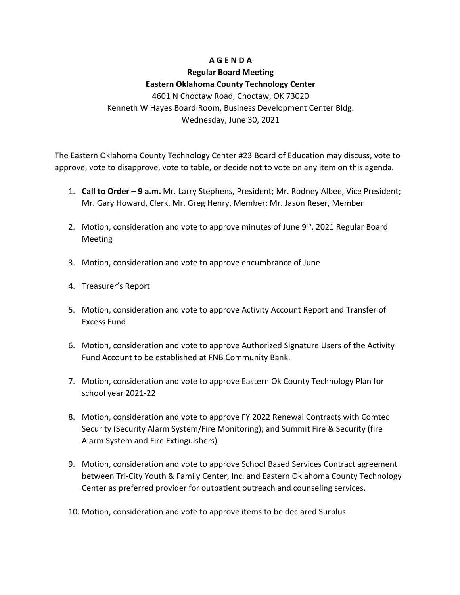## **A G E N D A**

## **Regular Board Meeting Eastern Oklahoma County Technology Center** 4601 N Choctaw Road, Choctaw, OK 73020

Kenneth W Hayes Board Room, Business Development Center Bldg. Wednesday, June 30, 2021

The Eastern Oklahoma County Technology Center #23 Board of Education may discuss, vote to approve, vote to disapprove, vote to table, or decide not to vote on any item on this agenda.

- 1. **Call to Order – 9 a.m.** Mr. Larry Stephens, President; Mr. Rodney Albee, Vice President; Mr. Gary Howard, Clerk, Mr. Greg Henry, Member; Mr. Jason Reser, Member
- 2. Motion, consideration and vote to approve minutes of June 9<sup>th</sup>, 2021 Regular Board Meeting
- 3. Motion, consideration and vote to approve encumbrance of June
- 4. Treasurer's Report
- 5. Motion, consideration and vote to approve Activity Account Report and Transfer of Excess Fund
- 6. Motion, consideration and vote to approve Authorized Signature Users of the Activity Fund Account to be established at FNB Community Bank.
- 7. Motion, consideration and vote to approve Eastern Ok County Technology Plan for school year 2021-22
- 8. Motion, consideration and vote to approve FY 2022 Renewal Contracts with Comtec Security (Security Alarm System/Fire Monitoring); and Summit Fire & Security (fire Alarm System and Fire Extinguishers)
- 9. Motion, consideration and vote to approve School Based Services Contract agreement between Tri-City Youth & Family Center, Inc. and Eastern Oklahoma County Technology Center as preferred provider for outpatient outreach and counseling services.
- 10. Motion, consideration and vote to approve items to be declared Surplus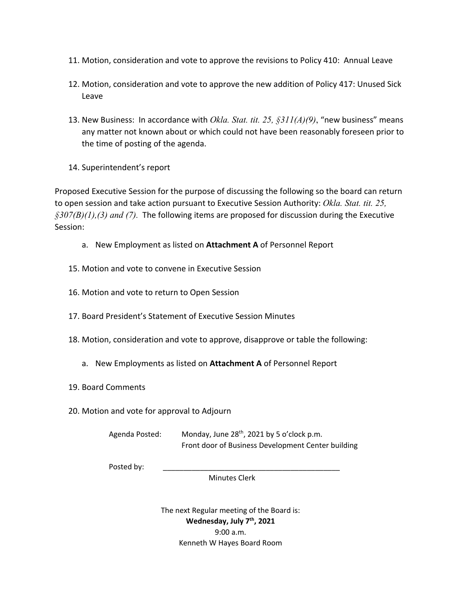- 11. Motion, consideration and vote to approve the revisions to Policy 410: Annual Leave
- 12. Motion, consideration and vote to approve the new addition of Policy 417: Unused Sick Leave
- 13. New Business: In accordance with *Okla. Stat. tit. 25, §311(A)(9)*, "new business" means any matter not known about or which could not have been reasonably foreseen prior to the time of posting of the agenda.
- 14. Superintendent's report

Proposed Executive Session for the purpose of discussing the following so the board can return to open session and take action pursuant to Executive Session Authority: *Okla. Stat. tit. 25, §307(B)(1),(3) and (7).* The following items are proposed for discussion during the Executive Session:

- a. New Employment as listed on **Attachment A** of Personnel Report
- 15. Motion and vote to convene in Executive Session
- 16. Motion and vote to return to Open Session
- 17. Board President's Statement of Executive Session Minutes
- 18. Motion, consideration and vote to approve, disapprove or table the following:
	- a. New Employments as listed on **Attachment A** of Personnel Report
- 19. Board Comments
- 20. Motion and vote for approval to Adjourn

Agenda Posted: Monday, June 28<sup>th</sup>, 2021 by 5 o'clock p.m. Front door of Business Development Center building

Posted by:

Minutes Clerk

The next Regular meeting of the Board is: **Wednesday, July 7th, 2021** 9:00 a.m. Kenneth W Hayes Board Room